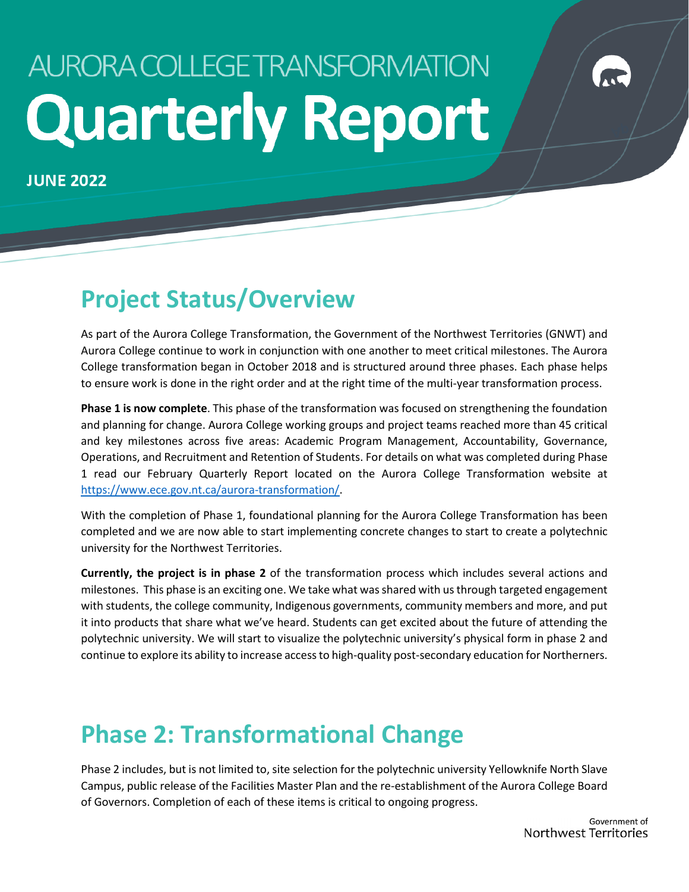# AURORA COLLEGE TRANSFORMATION **Quarterly Report**

**JUNE 2022** 

# **Project Status/Overview**

As part of the Aurora College Transformation, the Government of the Northwest Territories (GNWT) and Aurora College continue to work in conjunction with one another to meet critical milestones. The Aurora College transformation began in October 2018 and is structured around three phases. Each phase helps to ensure work is done in the right order and at the right time of the multi-year transformation process.

**Phase 1 is now complete**. This phase of the transformation was focused on strengthening the foundation and planning for change. Aurora College working groups and project teams reached more than 45 critical and key milestones across five areas: Academic Program Management, Accountability, Governance, Operations, and Recruitment and Retention of Students. For details on what was completed during Phase 1 read our February Quarterly Report located on the Aurora College Transformation website at [https://www.ece.gov.nt.ca/aurora-transformation/.](https://www.ece.gov.nt.ca/aurora-transformation/)

With the completion of Phase 1, foundational planning for the Aurora College Transformation has been completed and we are now able to start implementing concrete changes to start to create a polytechnic university for the Northwest Territories.

**Currently, the project is in phase 2** of the transformation process which includes several actions and milestones. This phase is an exciting one. We take what was shared with us through targeted engagement with students, the college community, Indigenous governments, community members and more, and put it into products that share what we've heard. Students can get excited about the future of attending the polytechnic university. We will start to visualize the polytechnic university's physical form in phase 2 and continue to explore its ability to increase access to high-quality post-secondary education for Northerners.

# **Phase 2: Transformational Change**

Phase 2 includes, but is not limited to, site selection for the polytechnic university Yellowknife North Slave Campus, public release of the Facilities Master Plan and the re-establishment of the Aurora College Board of Governors. Completion of each of these items is critical to ongoing progress.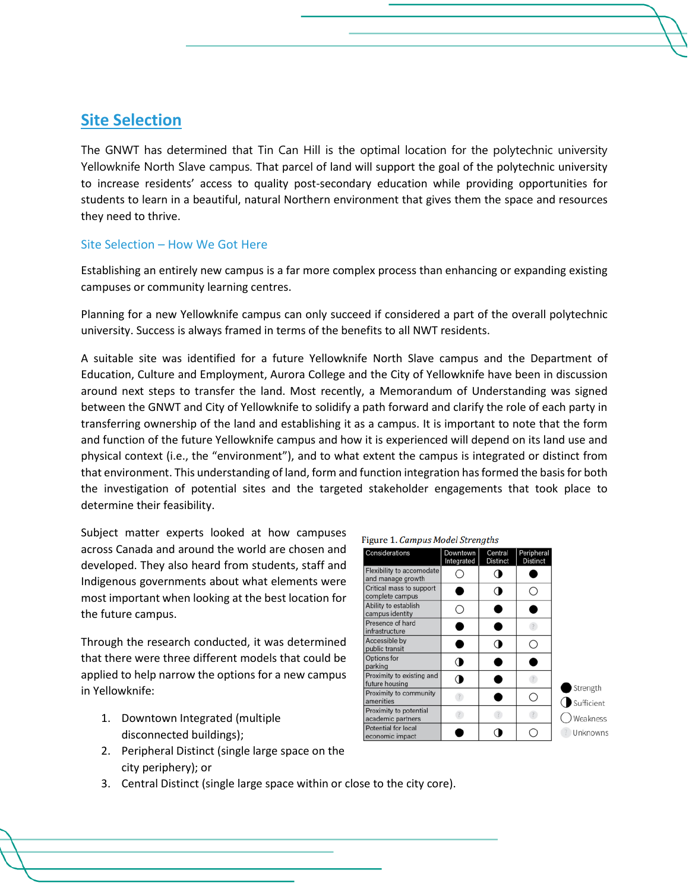### **Site Selection**

The GNWT has determined that Tin Can Hill is the optimal location for the polytechnic university Yellowknife North Slave campus. That parcel of land will support the goal of the polytechnic university to increase residents' access to quality post-secondary education while providing opportunities for students to learn in a beautiful, natural Northern environment that gives them the space and resources they need to thrive.

#### Site Selection – How We Got Here

Establishing an entirely new campus is a far more complex process than enhancing or expanding existing campuses or community learning centres.

Planning for a new Yellowknife campus can only succeed if considered a part of the overall polytechnic university. Success is always framed in terms of the benefits to all NWT residents.

A suitable site was identified for a future Yellowknife North Slave campus and the Department of Education, Culture and Employment, Aurora College and the City of Yellowknife have been in discussion around next steps to transfer the land. Most recently, a Memorandum of Understanding was signed between the GNWT and City of Yellowknife to solidify a path forward and clarify the role of each party in transferring ownership of the land and establishing it as a campus. It is important to note that the form and function of the future Yellowknife campus and how it is experienced will depend on its land use and physical context (i.e., the "environment"), and to what extent the campus is integrated or distinct from that environment. This understanding of land, form and function integration has formed the basis for both the investigation of potential sites and the targeted stakeholder engagements that took place to determine their feasibility.

Subject matter experts looked at how campuses across Canada and around the world are chosen and developed. They also heard from students, staff and Indigenous governments about what elements were most important when looking at the best location for the future campus.

Through the research conducted, it was determined that there were three different models that could be applied to help narrow the options for a new campus in Yellowknife:

- 1. Downtown Integrated (multiple disconnected buildings);
- 2. Peripheral Distinct (single large space on the city periphery); or
- 3. Central Distinct (single large space within or close to the city core).

| Considerations                                 | Downtown<br>Integrated | Central<br><b>Distinct</b> | Peripheral<br><b>Distinct</b> |
|------------------------------------------------|------------------------|----------------------------|-------------------------------|
| Flexibility to accomodate<br>and manage growth |                        |                            |                               |
| Critical mass to support<br>complete campus    |                        |                            |                               |
| Ability to establish<br>campus identity        |                        |                            |                               |
| Presence of hard<br>infrastructure             |                        |                            |                               |
| Accessible by<br>public transit                |                        |                            |                               |
| Options for<br>parking                         |                        |                            |                               |
| Proximity to existing and<br>future housing    |                        |                            |                               |
| Proximity to community<br>amenities            |                        |                            | O                             |
| Proximity to potential<br>academic partners    |                        |                            |                               |
| Potential for local<br>economic impact         |                        |                            |                               |

Strength Sufficient Weakness **Unknowns**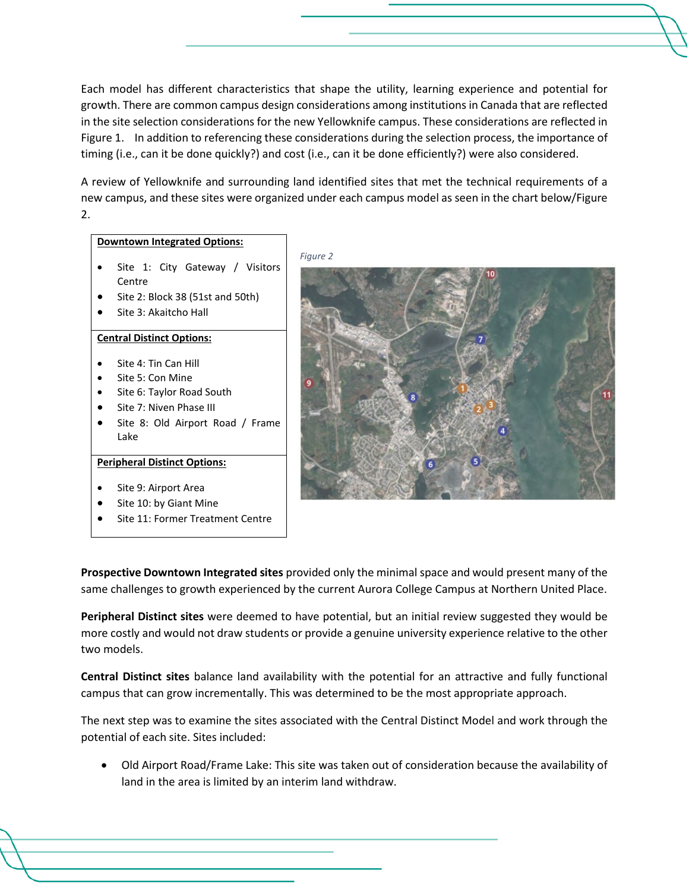Each model has different characteristics that shape the utility, learning experience and potential for growth. There are common campus design considerations among institutions in Canada that are reflected in the site selection considerations for the new Yellowknife campus. These considerations are reflected in Figure 1. In addition to referencing these considerations during the selection process, the importance of timing (i.e., can it be done quickly?) and cost (i.e., can it be done efficiently?) were also considered.

A review of Yellowknife and surrounding land identified sites that met the technical requirements of a new campus, and these sites were organized under each campus model as seen in the chart below/Figure 2.

#### **Downtown Integrated Options:**

- Site 1: City Gateway / Visitors Centre
- Site 2: Block 38 (51st and 50th)
- Site 3: Akaitcho Hall

#### **Central Distinct Options:**

- Site 4: Tin Can Hill
- Site 5: Con Mine
- Site 6: Taylor Road South
- Site 7: Niven Phase III
- Site 8: Old Airport Road / Frame Lake

#### **Peripheral Distinct Options:**

- Site 9: Airport Area
- Site 10: by Giant Mine
- Site 11: Former Treatment Centre





**Prospective Downtown Integrated sites** provided only the minimal space and would present many of the same challenges to growth experienced by the current Aurora College Campus at Northern United Place.

**Peripheral Distinct sites** were deemed to have potential, but an initial review suggested they would be more costly and would not draw students or provide a genuine university experience relative to the other two models.

**Central Distinct sites** balance land availability with the potential for an attractive and fully functional campus that can grow incrementally. This was determined to be the most appropriate approach.

The next step was to examine the sites associated with the Central Distinct Model and work through the potential of each site. Sites included:

• Old Airport Road/Frame Lake: This site was taken out of consideration because the availability of land in the area is limited by an interim land withdraw.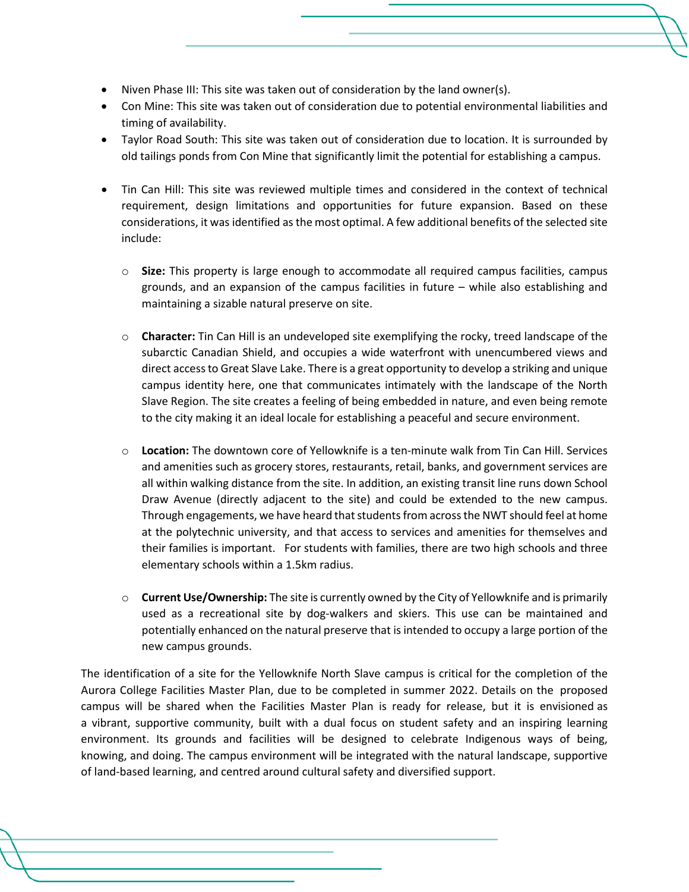- Niven Phase III: This site was taken out of consideration by the land owner(s).
- Con Mine: This site was taken out of consideration due to potential environmental liabilities and timing of availability.
- Taylor Road South: This site was taken out of consideration due to location. It is surrounded by old tailings ponds from Con Mine that significantly limit the potential for establishing a campus.
- Tin Can Hill: This site was reviewed multiple times and considered in the context of technical requirement, design limitations and opportunities for future expansion. Based on these considerations, it was identified as the most optimal. A few additional benefits of the selected site include:
	- o **Size:** This property is large enough to accommodate all required campus facilities, campus grounds, and an expansion of the campus facilities in future – while also establishing and maintaining a sizable natural preserve on site.
	- o **Character:** Tin Can Hill is an undeveloped site exemplifying the rocky, treed landscape of the subarctic Canadian Shield, and occupies a wide waterfront with unencumbered views and direct access to Great Slave Lake. There is a great opportunity to develop a striking and unique campus identity here, one that communicates intimately with the landscape of the North Slave Region. The site creates a feeling of being embedded in nature, and even being remote to the city making it an ideal locale for establishing a peaceful and secure environment.
	- o **Location:** The downtown core of Yellowknife is a ten-minute walk from Tin Can Hill. Services and amenities such as grocery stores, restaurants, retail, banks, and government services are all within walking distance from the site. In addition, an existing transit line runs down School Draw Avenue (directly adjacent to the site) and could be extended to the new campus. Through engagements, we have heard that students from across the NWT should feel at home at the polytechnic university, and that access to services and amenities for themselves and their families is important. For students with families, there are two high schools and three elementary schools within a 1.5km radius.
	- o **Current Use/Ownership:** The site is currently owned by the City of Yellowknife and is primarily used as a recreational site by dog-walkers and skiers. This use can be maintained and potentially enhanced on the natural preserve that is intended to occupy a large portion of the new campus grounds.

The identification of a site for the Yellowknife North Slave campus is critical for the completion of the Aurora College Facilities Master Plan, due to be completed in summer 2022. Details on the proposed campus will be shared when the Facilities Master Plan is ready for release, but it is envisioned as a vibrant, supportive community, built with a dual focus on student safety and an inspiring learning environment. Its grounds and facilities will be designed to celebrate Indigenous ways of being, knowing, and doing. The campus environment will be integrated with the natural landscape, supportive of land-based learning, and centred around cultural safety and diversified support.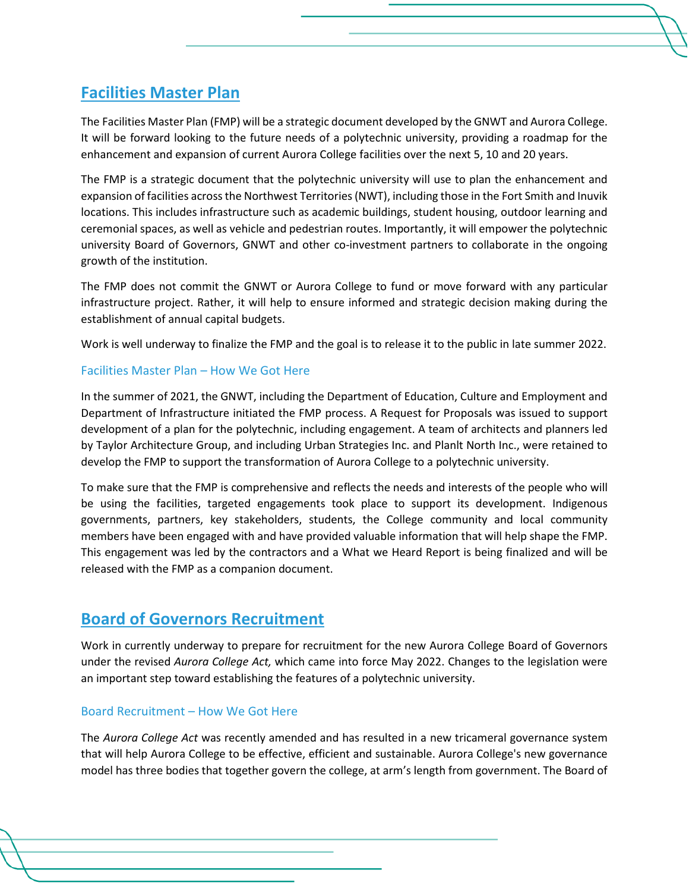### **Facilities Master Plan**

The Facilities Master Plan (FMP) will be a strategic document developed by the GNWT and Aurora College. It will be forward looking to the future needs of a polytechnic university, providing a roadmap for the enhancement and expansion of current Aurora College facilities over the next 5, 10 and 20 years.

The FMP is a strategic document that the polytechnic university will use to plan the enhancement and expansion of facilities across the Northwest Territories (NWT), including those in the Fort Smith and Inuvik locations. This includes infrastructure such as academic buildings, student housing, outdoor learning and ceremonial spaces, as well as vehicle and pedestrian routes. Importantly, it will empower the polytechnic university Board of Governors, GNWT and other co-investment partners to collaborate in the ongoing growth of the institution.

The FMP does not commit the GNWT or Aurora College to fund or move forward with any particular infrastructure project. Rather, it will help to ensure informed and strategic decision making during the establishment of annual capital budgets.

Work is well underway to finalize the FMP and the goal is to release it to the public in late summer 2022.

#### Facilities Master Plan – How We Got Here

In the summer of 2021, the GNWT, including the Department of Education, Culture and Employment and Department of Infrastructure initiated the FMP process. A Request for Proposals was issued to support development of a plan for the polytechnic, including engagement. A team of architects and planners led by Taylor Architecture Group, and including Urban Strategies Inc. and Planlt North Inc., were retained to develop the FMP to support the transformation of Aurora College to a polytechnic university.

To make sure that the FMP is comprehensive and reflects the needs and interests of the people who will be using the facilities, targeted engagements took place to support its development. Indigenous governments, partners, key stakeholders, students, the College community and local community members have been engaged with and have provided valuable information that will help shape the FMP. This engagement was led by the contractors and a What we Heard Report is being finalized and will be released with the FMP as a companion document.

### **Board of Governors Recruitment**

Work in currently underway to prepare for recruitment for the new Aurora College Board of Governors under the revised *Aurora College Act,* which came into force May 2022. Changes to the legislation were an important step toward establishing the features of a polytechnic university.

#### Board Recruitment – How We Got Here

The *Aurora College Act* was recently amended and has resulted in a new tricameral governance system that will help Aurora College to be effective, efficient and sustainable. Aurora College's new governance model has three bodies that together govern the college, at arm's length from government. The Board of